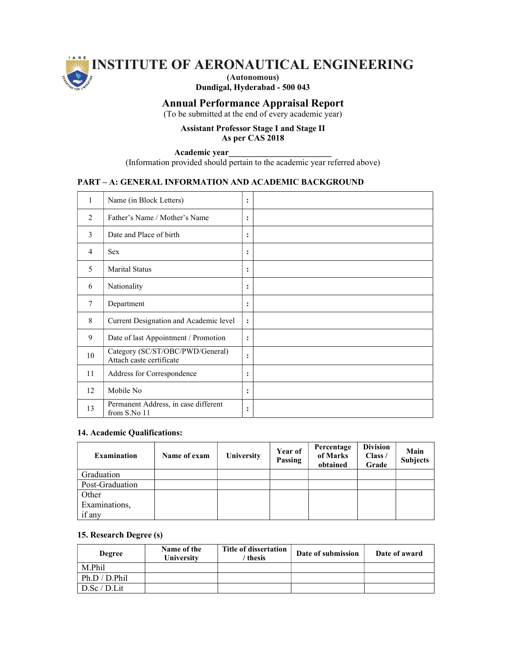

# Dundigal, Hyderabad - 500 043

## Annual Performance Appraisal Report

(To be submitted at the end of every academic year)

#### Assistant Professor Stage I and Stage II As per CAS 2018

Academic year\_\_\_\_\_\_\_\_\_\_\_\_\_\_\_\_\_\_\_\_\_\_\_\_

(Information provided should pertain to the academic year referred above)

## PART – A: GENERAL INFORMATION AND ACADEMIC BACKGROUND

| 1              | Name (in Block Letters)                                      | $\ddot{\cdot}$ |  |
|----------------|--------------------------------------------------------------|----------------|--|
| $\mathfrak{D}$ | Father's Name / Mother's Name                                | :              |  |
| 3              | Date and Place of birth                                      | :              |  |
| 4              | Sex                                                          | $\ddot{\cdot}$ |  |
| 5              | <b>Marital Status</b>                                        | :              |  |
| 6              | Nationality                                                  | :              |  |
| $\tau$         | Department                                                   | $\ddot{\cdot}$ |  |
| 8              | Current Designation and Academic level                       | :              |  |
| 9              | Date of last Appointment / Promotion                         | $\ddot{\cdot}$ |  |
| 10             | Category (SC/ST/OBC/PWD/General)<br>Attach caste certificate | $\ddot{\cdot}$ |  |
| 11             | Address for Correspondence                                   | :              |  |
| 12             | Mobile No                                                    | $\ddot{\cdot}$ |  |
| 13             | Permanent Address, in case different<br>from S.No 11         | :              |  |

## 14. Academic Qualifications:

| <b>Examination</b> | Name of exam | University | Year of<br><b>Passing</b> | Percentage<br>of Marks<br>obtained | <b>Division</b><br>Class /<br>Grade | Main<br><b>Subjects</b> |
|--------------------|--------------|------------|---------------------------|------------------------------------|-------------------------------------|-------------------------|
| Graduation         |              |            |                           |                                    |                                     |                         |
| Post-Graduation    |              |            |                           |                                    |                                     |                         |
| Other              |              |            |                           |                                    |                                     |                         |
| Examinations,      |              |            |                           |                                    |                                     |                         |
| if any             |              |            |                           |                                    |                                     |                         |

## 15. Research Degree (s)

| <b>Degree</b>  | Name of the<br>University | Title of dissertation<br>thesis | Date of submission | Date of award |
|----------------|---------------------------|---------------------------------|--------------------|---------------|
| M.Phil         |                           |                                 |                    |               |
| Ph.D / D. Phil |                           |                                 |                    |               |
| D.Sc / D.Lit   |                           |                                 |                    |               |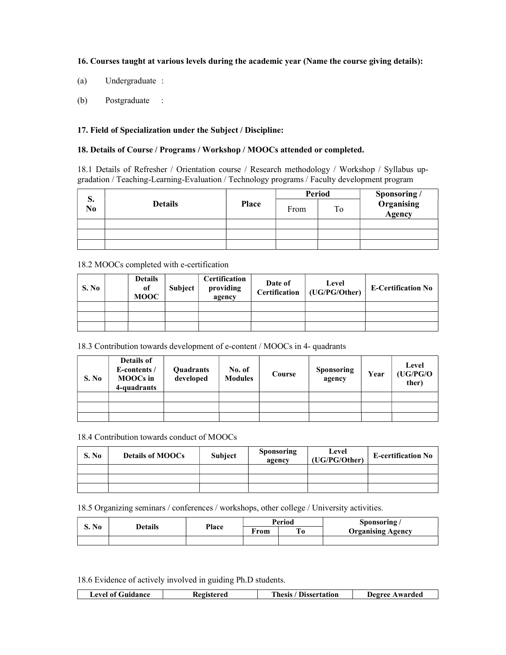## 16. Courses taught at various levels during the academic year (Name the course giving details):

- (a) Undergraduate :
- (b) Postgraduate :

#### 17. Field of Specialization under the Subject / Discipline:

## 18. Details of Course / Programs / Workshop / MOOCs attended or completed.

18.1 Details of Refresher / Orientation course / Research methodology / Workshop / Syllabus upgradation / Teaching-Learning-Evaluation / Technology programs / Faculty development program

|          |                |              |      | <b>Period</b> |                                               |
|----------|----------------|--------------|------|---------------|-----------------------------------------------|
| p.<br>No | <b>Details</b> | <b>Place</b> | From | To            | <b>Sponsoring /<br/>Organising<br/>Agency</b> |
|          |                |              |      |               |                                               |
|          |                |              |      |               |                                               |
|          |                |              |      |               |                                               |

## 18.2 MOOCs completed with e-certification

| S. No | <b>Details</b><br>of<br><b>MOOC</b> | <b>Subject</b> | Certification<br>providing<br>agency | Date of | Level<br>Certification   (UG/PG/Other) | <b>E-Certification No</b> |
|-------|-------------------------------------|----------------|--------------------------------------|---------|----------------------------------------|---------------------------|
|       |                                     |                |                                      |         |                                        |                           |
|       |                                     |                |                                      |         |                                        |                           |
|       |                                     |                |                                      |         |                                        |                           |

18.3 Contribution towards development of e-content / MOOCs in 4- quadrants

| S. No | <b>Details of</b><br>E-contents /<br><b>MOOCs</b> in<br>4-quadrants | Quadrants<br>developed | No. of<br><b>Modules</b> | Course | <b>Sponsoring</b><br>agency | Year | Level<br>(UG/PG/O<br>ther) |
|-------|---------------------------------------------------------------------|------------------------|--------------------------|--------|-----------------------------|------|----------------------------|
|       |                                                                     |                        |                          |        |                             |      |                            |
|       |                                                                     |                        |                          |        |                             |      |                            |
|       |                                                                     |                        |                          |        |                             |      |                            |

18.4 Contribution towards conduct of MOOCs

| S. No | <b>Details of MOOCs</b> | <b>Subject</b> | Sponsoring<br>agency | Level<br>(UG/PG/Other) | <b>E-certification No</b> |
|-------|-------------------------|----------------|----------------------|------------------------|---------------------------|
|       |                         |                |                      |                        |                           |
|       |                         |                |                      |                        |                           |
|       |                         |                |                      |                        |                           |

18.5 Organizing seminars / conferences / workshops, other college / University activities.

| S. No | Details |              |      | Period         | Sponsoring/              |  |
|-------|---------|--------------|------|----------------|--------------------------|--|
|       |         | <b>Place</b> | From | T <sub>0</sub> | <b>Organising Agency</b> |  |
|       |         |              |      |                |                          |  |

18.6 Evidence of actively involved in guiding Ph.D students.

| evel of Guidance. | Registered | Thesis .<br><b>Dissertation</b> | Deoree .<br>. Awarded |
|-------------------|------------|---------------------------------|-----------------------|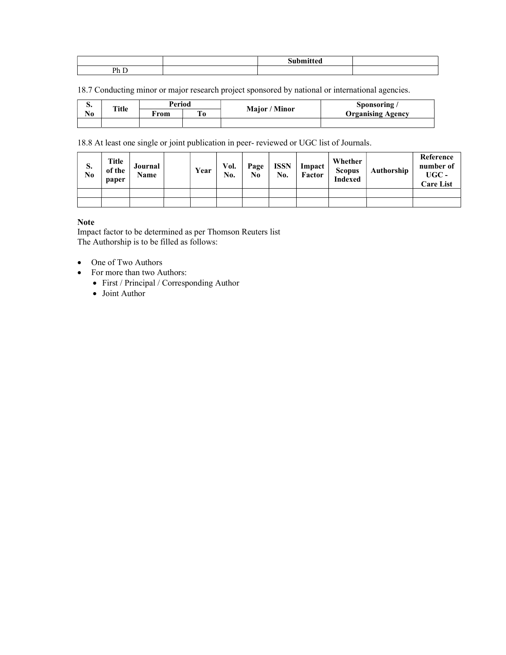| Dh |  |  |
|----|--|--|

18.7 Conducting minor or major research project sponsored by national or international agencies.

| ⋼. | Title | Period |                | Major / Minor | Sponsoring/              |
|----|-------|--------|----------------|---------------|--------------------------|
| No |       | From   | $\mathbf{T_0}$ |               | <b>Organising Agency</b> |
|    |       |        |                |               |                          |

18.8 At least one single or joint publication in peer- reviewed or UGC list of Journals.

| S.<br>No | Title<br>of the<br>paper | Journal<br>Name | Year | Vol.<br>No. | Page<br>No | <b>ISSN</b><br>No. | Impact<br>Factor | Whether<br><b>Scopus</b><br><b>Indexed</b> | Authorship | Reference<br>number of<br>$UGC -$<br><b>Care List</b> |
|----------|--------------------------|-----------------|------|-------------|------------|--------------------|------------------|--------------------------------------------|------------|-------------------------------------------------------|
|          |                          |                 |      |             |            |                    |                  |                                            |            |                                                       |
|          |                          |                 |      |             |            |                    |                  |                                            |            |                                                       |

Note

Impact factor to be determined as per Thomson Reuters list The Authorship is to be filled as follows:

- One of Two Authors
- For more than two Authors:
	- First / Principal / Corresponding Author
		- Joint Author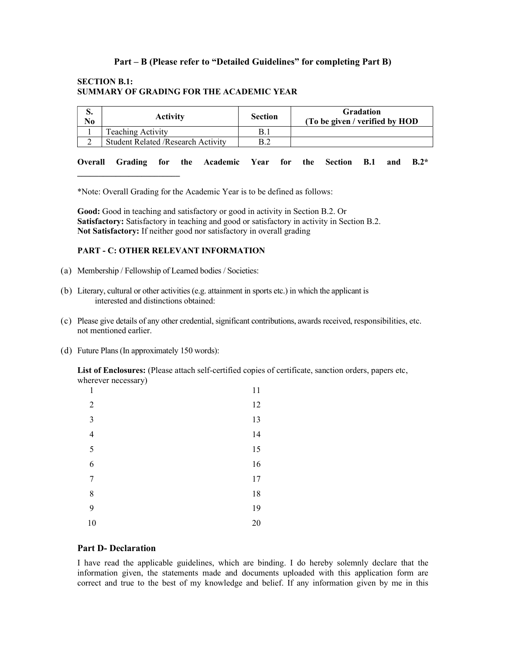## Part – B (Please refer to "Detailed Guidelines" for completing Part B)

## SECTION B.1: SUMMARY OF GRADING FOR THE ACADEMIC YEAR

| IJ.<br>No | <b>Activity</b>                            | Section | <b>Gradation</b><br>(To be given / verified by HOD |
|-----------|--------------------------------------------|---------|----------------------------------------------------|
|           | Teaching Activity                          | B.1     |                                                    |
|           | <b>Student Related / Research Activity</b> |         |                                                    |

Overall Grading for the Academic Year for the Section B.1 and B.2\*

\*Note: Overall Grading for the Academic Year is to be defined as follows:

Good: Good in teaching and satisfactory or good in activity in Section B.2. Or Satisfactory: Satisfactory in teaching and good or satisfactory in activity in Section B.2. Not Satisfactory: If neither good nor satisfactory in overall grading

#### PART - C: OTHER RELEVANT INFORMATION

- (a) Membership / Fellowship of Learned bodies / Societies:
- (b) Literary, cultural or other activities (e.g. attainment in sports etc.) in which the applicant is interested and distinctions obtained:
- (c) Please give details of any other credential, significant contributions, awards received, responsibilities, etc. not mentioned earlier.
- (d) Future Plans (In approximately 150 words):

 $\overline{\phantom{a}}$  , where  $\overline{\phantom{a}}$  , where  $\overline{\phantom{a}}$  , where  $\overline{\phantom{a}}$ 

List of Enclosures: (Please attach self-certified copies of certificate, sanction orders, papers etc, wherever necessary)

| $\mathbf{1}$   | 11 |
|----------------|----|
| $\overline{2}$ | 12 |
| 3              | 13 |
| $\overline{4}$ | 14 |
| 5              | 15 |
| 6              | 16 |
| $\overline{7}$ | 17 |
| $\,$ $\,$      | 18 |
| 9              | 19 |
| 10             | 20 |

#### Part D- Declaration

I have read the applicable guidelines, which are binding. I do hereby solemnly declare that the information given, the statements made and documents uploaded with this application form are correct and true to the best of my knowledge and belief. If any information given by me in this